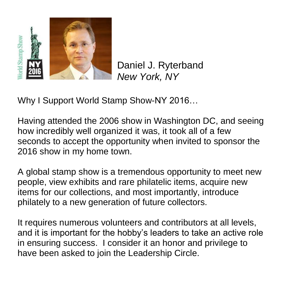

Daniel J. Ryterband *New York, NY*

Why I Support World Stamp Show-NY 2016…

Having attended the 2006 show in Washington DC, and seeing how incredibly well organized it was, it took all of a few seconds to accept the opportunity when invited to sponsor the 2016 show in my home town.

A global stamp show is a tremendous opportunity to meet new people, view exhibits and rare philatelic items, acquire new items for our collections, and most importantly, introduce philately to a new generation of future collectors.

It requires numerous volunteers and contributors at all levels, and it is important for the hobby's leaders to take an active role in ensuring success. I consider it an honor and privilege to have been asked to join the Leadership Circle.